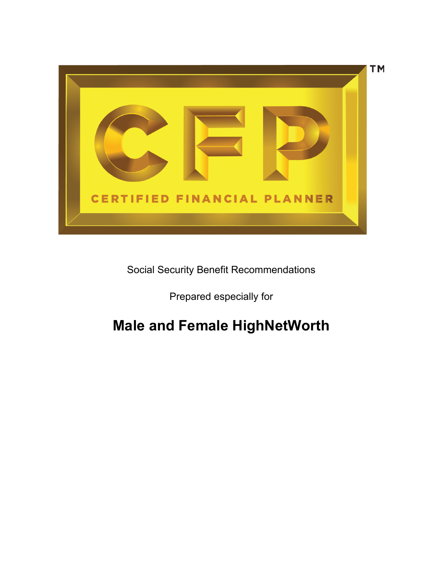

Social Security Benefit Recommendations

Prepared especially for

# **Male and Female HighNetWorth**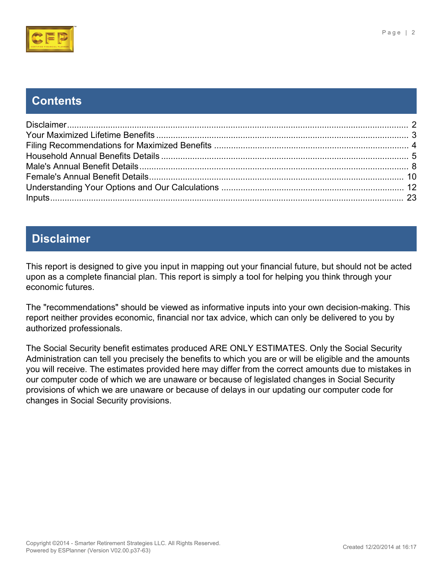

**Contents**

# <span id="page-1-0"></span>**Disclaimer**

This report is designed to give you input in mapping out your financial future, but should not be acted upon as a complete financial plan. This report is simply a tool for helping you think through your economic futures.

The "recommendations" should be viewed as informative inputs into your own decision-making. This report neither provides economic, financial nor tax advice, which can only be delivered to you by authorized professionals.

The Social Security benefit estimates produced ARE ONLY ESTIMATES. Only the Social Security Administration can tell you precisely the benefits to which you are or will be eligible and the amounts you will receive. The estimates provided here may differ from the correct amounts due to mistakes in our computer code of which we are unaware or because of legislated changes in Social Security provisions of which we are unaware or because of delays in our updating our computer code for changes in Social Security provisions.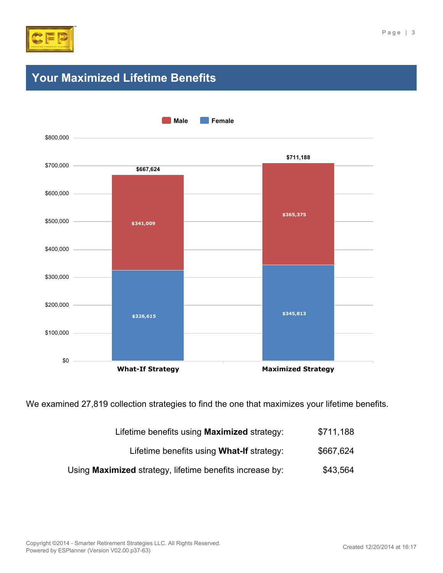

# <span id="page-2-0"></span>**Your Maximized Lifetime Benefits**



We examined 27,819 collection strategies to find the one that maximizes your lifetime benefits.

| Lifetime benefits using Maximized strategy: | \$711,188 |
|---------------------------------------------|-----------|
|                                             |           |

- Lifetime benefits using What-If strategy: \$667,624
- Using **Maximized** strategy, lifetime benefits increase by: \$43,564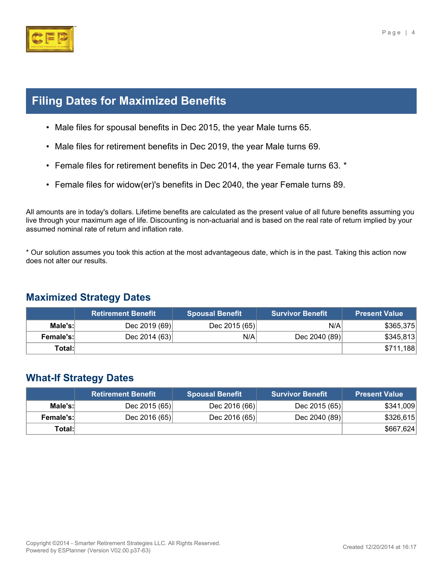

# <span id="page-3-0"></span>**Filing Dates for Maximized Benefits**

- Male files for spousal benefits in Dec 2015, the year Male turns 65.
- Male files for retirement benefits in Dec 2019, the year Male turns 69.
- Female files for retirement benefits in Dec 2014, the year Female turns 63. \*
- Female files for widow(er)'s benefits in Dec 2040, the year Female turns 89.

All amounts are in today's dollars. Lifetime benefits are calculated as the present value of all future benefits assuming you live through your maximum age of life. Discounting is non-actuarial and is based on the real rate of return implied by your assumed nominal rate of return and inflation rate.

\* Our solution assumes you took this action at the most advantageous date, which is in the past. Taking this action now does not alter our results.

#### **Maximized Strategy Dates**

|                  | <b>Retirement Benefit</b> | <b>Spousal Benefit</b> | <b>Survivor Benefit</b> | <b>Present Value</b> |
|------------------|---------------------------|------------------------|-------------------------|----------------------|
| Male's:          | Dec 2019 (69)             | Dec 2015 (65)          | N/A                     | \$365,375            |
| <b>Female's:</b> | Dec 2014 $(63)$           | N/A                    | Dec 2040 (89)           | \$345,813            |
| Total:           |                           |                        |                         | \$711,188            |

#### **What-If Strategy Dates**

|                  | ⊾Retirement Benefit \ | <b>Spousal Benefit</b> | <b>Survivor Benefit</b> | <b>Present Value</b> |
|------------------|-----------------------|------------------------|-------------------------|----------------------|
| Male's:          | Dec 2015 (65)         | Dec 2016 (66)          | Dec 2015 (65)           | \$341,009            |
| <b>Female's:</b> | Dec 2016 $(65)$       | Dec 2016 $(65)$        | Dec 2040 (89)           | \$326,615            |
| Total:l          |                       |                        |                         | \$667,624            |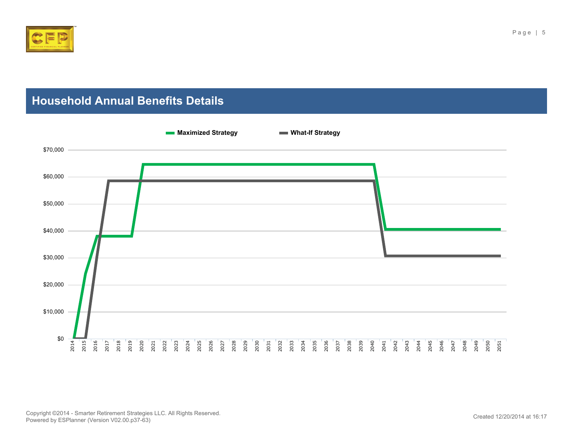

# <span id="page-4-0"></span>**Household Annual Benefits Details**

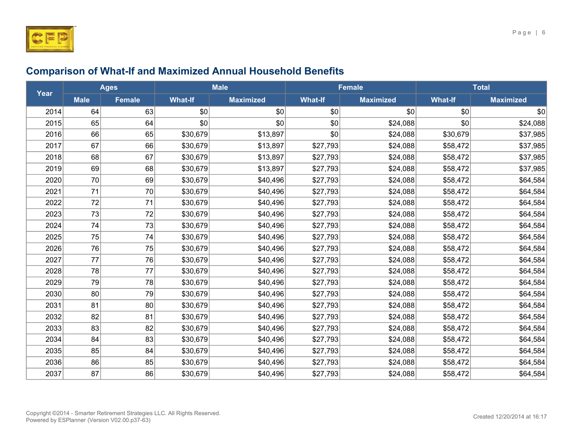

|      | <b>Ages</b> |               | <b>Male</b>    |                  |                | <b>Female</b>    | <b>Total</b>   |                  |
|------|-------------|---------------|----------------|------------------|----------------|------------------|----------------|------------------|
| Year | <b>Male</b> | <b>Female</b> | <b>What-If</b> | <b>Maximized</b> | <b>What-If</b> | <b>Maximized</b> | <b>What-If</b> | <b>Maximized</b> |
| 2014 | 64          | 63            | \$0            | \$0              | \$0            | \$0              | \$0            | \$0              |
| 2015 | 65          | 64            | \$0            | \$0              | \$0            | \$24,088         | \$0            | \$24,088         |
| 2016 | 66          | 65            | \$30,679       | \$13,897         | \$0            | \$24,088         | \$30,679       | \$37,985         |
| 2017 | 67          | 66            | \$30,679       | \$13,897         | \$27,793       | \$24,088         | \$58,472       | \$37,985         |
| 2018 | 68          | 67            | \$30,679       | \$13,897         | \$27,793       | \$24,088         | \$58,472       | \$37,985         |
| 2019 | 69          | 68            | \$30,679       | \$13,897         | \$27,793       | \$24,088         | \$58,472       | \$37,985         |
| 2020 | 70          | 69            | \$30,679       | \$40,496         | \$27,793       | \$24,088         | \$58,472       | \$64,584         |
| 2021 | 71          | 70            | \$30,679       | \$40,496         | \$27,793       | \$24,088         | \$58,472       | \$64,584         |
| 2022 | 72          | 71            | \$30,679       | \$40,496         | \$27,793       | \$24,088         | \$58,472       | \$64,584         |
| 2023 | 73          | 72            | \$30,679       | \$40,496         | \$27,793       | \$24,088         | \$58,472       | \$64,584         |
| 2024 | 74          | 73            | \$30,679       | \$40,496         | \$27,793       | \$24,088         | \$58,472       | \$64,584         |
| 2025 | 75          | 74            | \$30,679       | \$40,496         | \$27,793       | \$24,088         | \$58,472       | \$64,584         |
| 2026 | 76          | 75            | \$30,679       | \$40,496         | \$27,793       | \$24,088         | \$58,472       | \$64,584         |
| 2027 | 77          | 76            | \$30,679       | \$40,496         | \$27,793       | \$24,088         | \$58,472       | \$64,584         |
| 2028 | 78          | 77            | \$30,679       | \$40,496         | \$27,793       | \$24,088         | \$58,472       | \$64,584         |
| 2029 | 79          | 78            | \$30,679       | \$40,496         | \$27,793       | \$24,088         | \$58,472       | \$64,584         |
| 2030 | 80          | 79            | \$30,679       | \$40,496         | \$27,793       | \$24,088         | \$58,472       | \$64,584         |
| 2031 | 81          | 80            | \$30,679       | \$40,496         | \$27,793       | \$24,088         | \$58,472       | \$64,584         |
| 2032 | 82          | 81            | \$30,679       | \$40,496         | \$27,793       | \$24,088         | \$58,472       | \$64,584         |
| 2033 | 83          | 82            | \$30,679       | \$40,496         | \$27,793       | \$24,088         | \$58,472       | \$64,584         |
| 2034 | 84          | 83            | \$30,679       | \$40,496         | \$27,793       | \$24,088         | \$58,472       | \$64,584         |
| 2035 | 85          | 84            | \$30,679       | \$40,496         | \$27,793       | \$24,088         | \$58,472       | \$64,584         |
| 2036 | 86          | 85            | \$30,679       | \$40,496         | \$27,793       | \$24,088         | \$58,472       | \$64,584         |
| 2037 | 87          | 86            | \$30,679       | \$40,496         | \$27,793       | \$24,088         | \$58,472       | \$64,584         |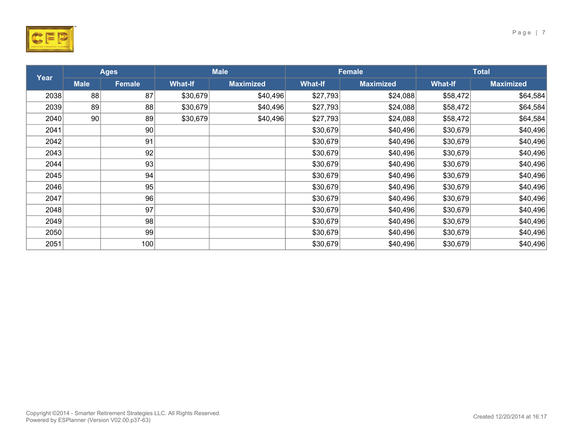

Page | 7

|      | <b>Ages</b> |        | <b>Male</b>    |                  | Female         |                  | <b>Total</b>   |                  |
|------|-------------|--------|----------------|------------------|----------------|------------------|----------------|------------------|
| Year | <b>Male</b> | Female | <b>What-If</b> | <b>Maximized</b> | <b>What-If</b> | <b>Maximized</b> | <b>What-If</b> | <b>Maximized</b> |
| 2038 | 88          | 87     | \$30,679       | \$40,496         | \$27,793       | \$24,088         | \$58,472       | \$64,584         |
| 2039 | 89          | 88     | \$30,679       | \$40,496         | \$27,793       | \$24,088         | \$58,472       | \$64,584         |
| 2040 | 90          | 89     | \$30,679       | \$40,496         | \$27,793       | \$24,088         | \$58,472       | \$64,584         |
| 2041 |             | 90     |                |                  | \$30,679       | \$40,496         | \$30,679       | \$40,496         |
| 2042 |             | 91     |                |                  | \$30,679       | \$40,496         | \$30,679       | \$40,496         |
| 2043 |             | 92     |                |                  | \$30,679       | \$40,496         | \$30,679       | \$40,496         |
| 2044 |             | 93     |                |                  | \$30,679       | \$40,496         | \$30,679       | \$40,496         |
| 2045 |             | 94     |                |                  | \$30,679       | \$40,496         | \$30,679       | \$40,496         |
| 2046 |             | 95     |                |                  | \$30,679       | \$40,496         | \$30,679       | \$40,496         |
| 2047 |             | 96     |                |                  | \$30,679       | \$40,496         | \$30,679       | \$40,496         |
| 2048 |             | 97     |                |                  | \$30,679       | \$40,496         | \$30,679       | \$40,496         |
| 2049 |             | 98     |                |                  | \$30,679       | \$40,496         | \$30,679       | \$40,496         |
| 2050 |             | 99     |                |                  | \$30,679       | \$40,496         | \$30,679       | \$40,496         |
| 2051 |             | 100    |                |                  | \$30,679       | \$40,496         | \$30,679       | \$40,496         |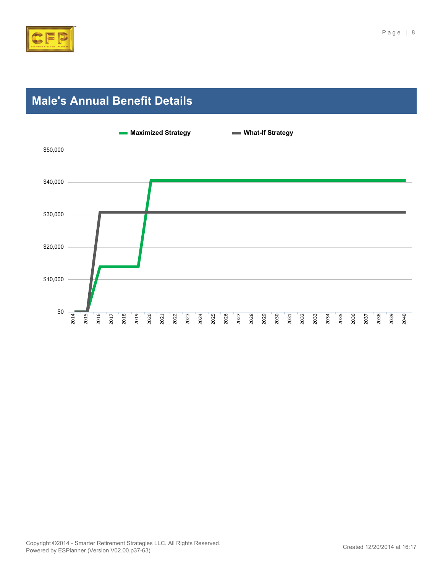

# <span id="page-7-0"></span>**Male's Annual Benefit Details**

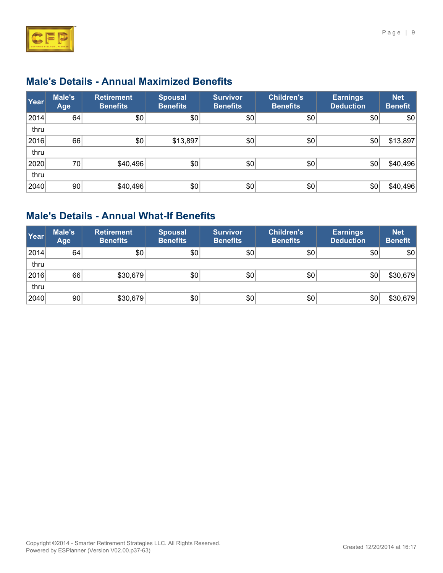

### **Male's Details - Annual Maximized Benefits**

| Year | Male's<br>Age   | <b>Retirement</b><br><b>Benefits</b> | <b>Spousal</b><br><b>Benefits</b> | <b>Survivor</b><br><b>Benefits</b> | Children's<br><b>Benefits</b> | <b>Earnings</b><br><b>Deduction</b> | <b>Net</b><br><b>Benefit</b> |
|------|-----------------|--------------------------------------|-----------------------------------|------------------------------------|-------------------------------|-------------------------------------|------------------------------|
| 2014 | 64              | \$0                                  | \$0                               | \$0                                | \$0                           | \$0                                 | \$0                          |
| thru |                 |                                      |                                   |                                    |                               |                                     |                              |
| 2016 | 66              | \$0                                  | \$13,897                          | \$0                                | \$0                           | \$0                                 | \$13,897                     |
| thru |                 |                                      |                                   |                                    |                               |                                     |                              |
| 2020 | 70              | \$40,496                             | \$0                               | \$0                                | \$0                           | \$0                                 | \$40,496                     |
| thru |                 |                                      |                                   |                                    |                               |                                     |                              |
| 2040 | 90 <sup>°</sup> | \$40,496                             | \$0                               | \$0                                | \$0                           | \$0                                 | \$40,496                     |

#### **Male's Details - Annual What-If Benefits**

| Year | Male's<br>Age   | <b>Retirement</b><br><b>Benefits</b> | <b>Spousal</b><br><b>Benefits</b> | <b>Survivor</b><br><b>Benefits</b> | <b>Children's</b><br><b>Benefits</b> | <b>Earnings</b><br><b>Deduction</b> | <b>Net</b><br><b>Benefit</b> |
|------|-----------------|--------------------------------------|-----------------------------------|------------------------------------|--------------------------------------|-------------------------------------|------------------------------|
| 2014 | 64              | \$0                                  | \$0                               | \$0                                | \$0                                  | \$0                                 | \$0                          |
| thru |                 |                                      |                                   |                                    |                                      |                                     |                              |
| 2016 | 66              | \$30,679                             | $ 10\rangle$                      | \$0                                | \$0                                  | \$0                                 | \$30,679                     |
| thru |                 |                                      |                                   |                                    |                                      |                                     |                              |
| 2040 | 90 <sub>1</sub> | \$30,679                             | \$0                               | \$0                                | \$0                                  | \$0                                 | \$30,679                     |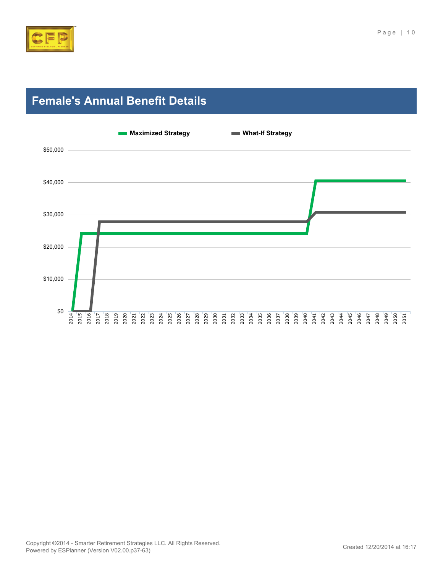

# <span id="page-9-0"></span>**Female's Annual Benefit Details**

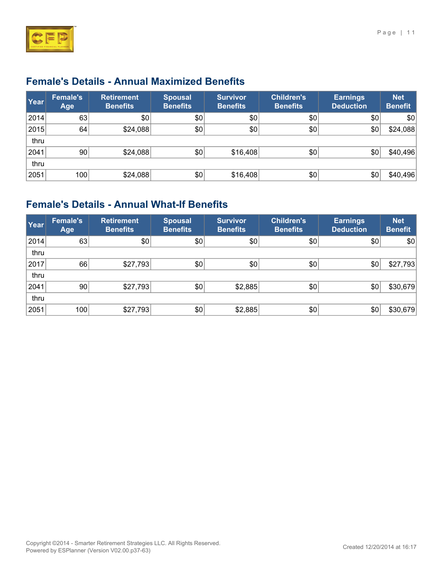

### **Female's Details - Annual Maximized Benefits**

| Year | <b>Female's</b><br>Age | <b>Retirement</b><br><b>Benefits</b> | <b>Spousal</b><br><b>Benefits</b> | <b>Survivor</b><br><b>Benefits</b> | Children's<br><b>Benefits</b> | <b>Earnings</b><br><b>Deduction</b> | <b>Net</b><br><b>Benefit</b> |
|------|------------------------|--------------------------------------|-----------------------------------|------------------------------------|-------------------------------|-------------------------------------|------------------------------|
| 2014 | 63                     | \$0                                  | \$0                               | \$0                                | \$0                           | \$0                                 | \$0                          |
| 2015 | 64                     | \$24,088                             | \$0                               | \$0                                | \$0                           | \$0                                 | \$24,088                     |
| thru |                        |                                      |                                   |                                    |                               |                                     |                              |
| 2041 | 90                     | \$24,088                             | \$0                               | \$16,408                           | \$0                           | \$0                                 | \$40,496                     |
| thru |                        |                                      |                                   |                                    |                               |                                     |                              |
| 2051 | 100                    | \$24,088                             | \$0                               | \$16,408                           | \$0                           | \$0                                 | \$40,496                     |

# **Female's Details - Annual What-If Benefits**

| Year | <b>Female's</b><br>Age | <b>Retirement</b><br><b>Benefits</b> | <b>Spousal</b><br><b>Benefits</b> | <b>Survivor</b><br><b>Benefits</b> | <b>Children's</b><br><b>Benefits</b> | <b>Earnings</b><br><b>Deduction</b> | <b>Net</b><br><b>Benefit</b> |
|------|------------------------|--------------------------------------|-----------------------------------|------------------------------------|--------------------------------------|-------------------------------------|------------------------------|
| 2014 | 63                     | \$0                                  | \$0                               | \$0                                | \$0                                  | \$0                                 | \$0                          |
| thru |                        |                                      |                                   |                                    |                                      |                                     |                              |
| 2017 | 66                     | \$27,793                             | \$0                               | \$0                                | \$0                                  | \$0                                 | \$27,793                     |
| thru |                        |                                      |                                   |                                    |                                      |                                     |                              |
| 2041 | 90                     | \$27,793                             | \$0                               | \$2,885                            | \$0                                  | \$0                                 | \$30,679                     |
| thru |                        |                                      |                                   |                                    |                                      |                                     |                              |
| 2051 | 100                    | \$27,793                             | \$0                               | \$2,885                            | \$0                                  | \$0                                 | \$30,679                     |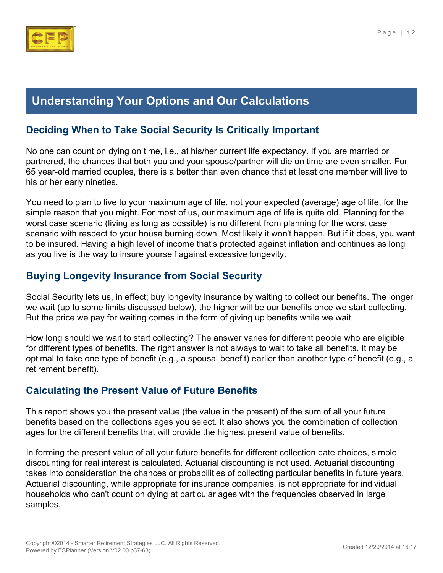

# <span id="page-11-0"></span>**Understanding Your Options and Our Calculations**

#### **Deciding When to Take Social Security Is Critically Important**

No one can count on dying on time, i.e., at his/her current life expectancy. If you are married or partnered, the chances that both you and your spouse/partner will die on time are even smaller. For 65 year-old married couples, there is a better than even chance that at least one member will live to his or her early nineties.

You need to plan to live to your maximum age of life, not your expected (average) age of life, for the simple reason that you might. For most of us, our maximum age of life is quite old. Planning for the worst case scenario (living as long as possible) is no different from planning for the worst case scenario with respect to your house burning down. Most likely it won't happen. But if it does, you want to be insured. Having a high level of income that's protected against inflation and continues as long as you live is the way to insure yourself against excessive longevity.

#### **Buying Longevity Insurance from Social Security**

Social Security lets us, in effect; buy longevity insurance by waiting to collect our benefits. The longer we wait (up to some limits discussed below), the higher will be our benefits once we start collecting. But the price we pay for waiting comes in the form of giving up benefits while we wait.

How long should we wait to start collecting? The answer varies for different people who are eligible for different types of benefits. The right answer is not always to wait to take all benefits. It may be optimal to take one type of benefit (e.g., a spousal benefit) earlier than another type of benefit (e.g., a retirement benefit).

#### **Calculating the Present Value of Future Benefits**

This report shows you the present value (the value in the present) of the sum of all your future benefits based on the collections ages you select. It also shows you the combination of collection ages for the different benefits that will provide the highest present value of benefits.

In forming the present value of all your future benefits for different collection date choices, simple discounting for real interest is calculated. Actuarial discounting is not used. Actuarial discounting takes into consideration the chances or probabilities of collecting particular benefits in future years. Actuarial discounting, while appropriate for insurance companies, is not appropriate for individual households who can't count on dying at particular ages with the frequencies observed in large samples.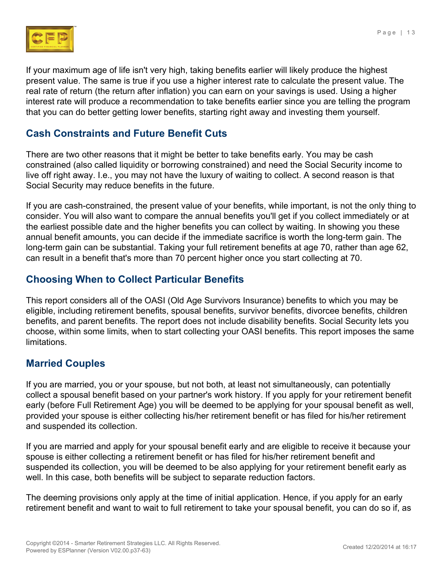

If your maximum age of life isn't very high, taking benefits earlier will likely produce the highest present value. The same is true if you use a higher interest rate to calculate the present value. The real rate of return (the return after inflation) you can earn on your savings is used. Using a higher interest rate will produce a recommendation to take benefits earlier since you are telling the program that you can do better getting lower benefits, starting right away and investing them yourself.

#### **Cash Constraints and Future Benefit Cuts**

There are two other reasons that it might be better to take benefits early. You may be cash constrained (also called liquidity or borrowing constrained) and need the Social Security income to live off right away. I.e., you may not have the luxury of waiting to collect. A second reason is that Social Security may reduce benefits in the future.

If you are cash-constrained, the present value of your benefits, while important, is not the only thing to consider. You will also want to compare the annual benefits you'll get if you collect immediately or at the earliest possible date and the higher benefits you can collect by waiting. In showing you these annual benefit amounts, you can decide if the immediate sacrifice is worth the long-term gain. The long-term gain can be substantial. Taking your full retirement benefits at age 70, rather than age 62, can result in a benefit that's more than 70 percent higher once you start collecting at 70.

#### **Choosing When to Collect Particular Benefits**

This report considers all of the OASI (Old Age Survivors Insurance) benefits to which you may be eligible, including retirement benefits, spousal benefits, survivor benefits, divorcee benefits, children benefits, and parent benefits. The report does not include disability benefits. Social Security lets you choose, within some limits, when to start collecting your OASI benefits. This report imposes the same limitations.

#### **Married Couples**

If you are married, you or your spouse, but not both, at least not simultaneously, can potentially collect a spousal benefit based on your partner's work history. If you apply for your retirement benefit early (before Full Retirement Age) you will be deemed to be applying for your spousal benefit as well, provided your spouse is either collecting his/her retirement benefit or has filed for his/her retirement and suspended its collection.

If you are married and apply for your spousal benefit early and are eligible to receive it because your spouse is either collecting a retirement benefit or has filed for his/her retirement benefit and suspended its collection, you will be deemed to be also applying for your retirement benefit early as well. In this case, both benefits will be subject to separate reduction factors.

The deeming provisions only apply at the time of initial application. Hence, if you apply for an early retirement benefit and want to wait to full retirement to take your spousal benefit, you can do so if, as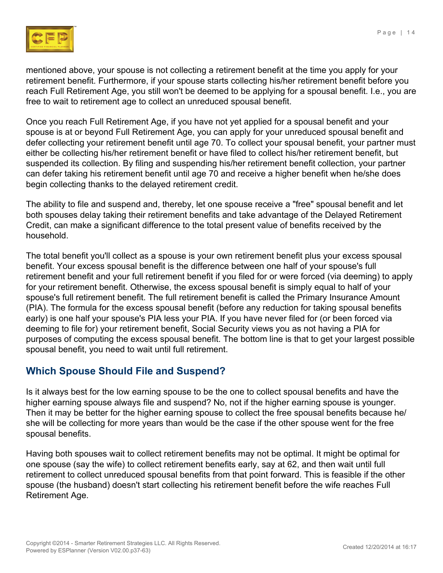

mentioned above, your spouse is not collecting a retirement benefit at the time you apply for your retirement benefit. Furthermore, if your spouse starts collecting his/her retirement benefit before you reach Full Retirement Age, you still won't be deemed to be applying for a spousal benefit. I.e., you are free to wait to retirement age to collect an unreduced spousal benefit.

Once you reach Full Retirement Age, if you have not yet applied for a spousal benefit and your spouse is at or beyond Full Retirement Age, you can apply for your unreduced spousal benefit and defer collecting your retirement benefit until age 70. To collect your spousal benefit, your partner must either be collecting his/her retirement benefit or have filed to collect his/her retirement benefit, but suspended its collection. By filing and suspending his/her retirement benefit collection, your partner can defer taking his retirement benefit until age 70 and receive a higher benefit when he/she does begin collecting thanks to the delayed retirement credit.

The ability to file and suspend and, thereby, let one spouse receive a "free" spousal benefit and let both spouses delay taking their retirement benefits and take advantage of the Delayed Retirement Credit, can make a significant difference to the total present value of benefits received by the household.

The total benefit you'll collect as a spouse is your own retirement benefit plus your excess spousal benefit. Your excess spousal benefit is the difference between one half of your spouse's full retirement benefit and your full retirement benefit if you filed for or were forced (via deeming) to apply for your retirement benefit. Otherwise, the excess spousal benefit is simply equal to half of your spouse's full retirement benefit. The full retirement benefit is called the Primary Insurance Amount (PIA). The formula for the excess spousal benefit (before any reduction for taking spousal benefits early) is one half your spouse's PIA less your PIA. If you have never filed for (or been forced via deeming to file for) your retirement benefit, Social Security views you as not having a PIA for purposes of computing the excess spousal benefit. The bottom line is that to get your largest possible spousal benefit, you need to wait until full retirement.

#### **Which Spouse Should File and Suspend?**

Is it always best for the low earning spouse to be the one to collect spousal benefits and have the higher earning spouse always file and suspend? No, not if the higher earning spouse is younger. Then it may be better for the higher earning spouse to collect the free spousal benefits because he/ she will be collecting for more years than would be the case if the other spouse went for the free spousal benefits.

Having both spouses wait to collect retirement benefits may not be optimal. It might be optimal for one spouse (say the wife) to collect retirement benefits early, say at 62, and then wait until full retirement to collect unreduced spousal benefits from that point forward. This is feasible if the other spouse (the husband) doesn't start collecting his retirement benefit before the wife reaches Full Retirement Age.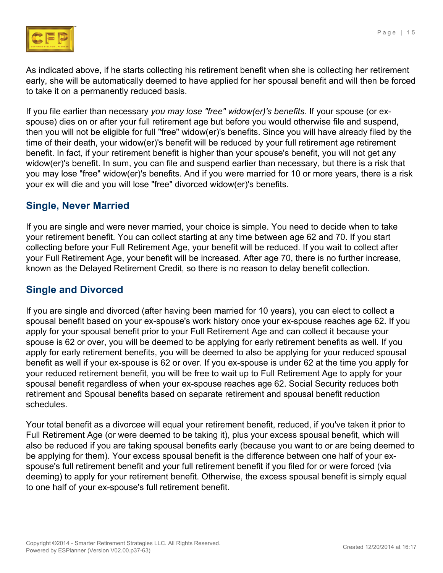

As indicated above, if he starts collecting his retirement benefit when she is collecting her retirement early, she will be automatically deemed to have applied for her spousal benefit and will then be forced to take it on a permanently reduced basis.

If you file earlier than necessary *you may lose "free" widow(er)'s benefits*. If your spouse (or exspouse) dies on or after your full retirement age but before you would otherwise file and suspend, then you will not be eligible for full "free" widow(er)'s benefits. Since you will have already filed by the time of their death, your widow(er)'s benefit will be reduced by your full retirement age retirement benefit. In fact, if your retirement benefit is higher than your spouse's benefit, you will not get any widow(er)'s benefit. In sum, you can file and suspend earlier than necessary, but there is a risk that you may lose "free" widow(er)'s benefits. And if you were married for 10 or more years, there is a risk your ex will die and you will lose "free" divorced widow(er)'s benefits.

#### **Single, Never Married**

If you are single and were never married, your choice is simple. You need to decide when to take your retirement benefit. You can collect starting at any time between age 62 and 70. If you start collecting before your Full Retirement Age, your benefit will be reduced. If you wait to collect after your Full Retirement Age, your benefit will be increased. After age 70, there is no further increase, known as the Delayed Retirement Credit, so there is no reason to delay benefit collection.

#### **Single and Divorced**

If you are single and divorced (after having been married for 10 years), you can elect to collect a spousal benefit based on your ex-spouse's work history once your ex-spouse reaches age 62. If you apply for your spousal benefit prior to your Full Retirement Age and can collect it because your spouse is 62 or over, you will be deemed to be applying for early retirement benefits as well. If you apply for early retirement benefits, you will be deemed to also be applying for your reduced spousal benefit as well if your ex-spouse is 62 or over. If you ex-spouse is under 62 at the time you apply for your reduced retirement benefit, you will be free to wait up to Full Retirement Age to apply for your spousal benefit regardless of when your ex-spouse reaches age 62. Social Security reduces both retirement and Spousal benefits based on separate retirement and spousal benefit reduction schedules.

Your total benefit as a divorcee will equal your retirement benefit, reduced, if you've taken it prior to Full Retirement Age (or were deemed to be taking it), plus your excess spousal benefit, which will also be reduced if you are taking spousal benefits early (because you want to or are being deemed to be applying for them). Your excess spousal benefit is the difference between one half of your exspouse's full retirement benefit and your full retirement benefit if you filed for or were forced (via deeming) to apply for your retirement benefit. Otherwise, the excess spousal benefit is simply equal to one half of your ex-spouse's full retirement benefit.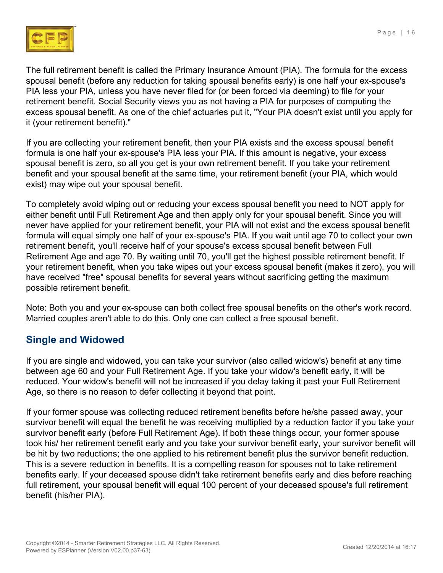

The full retirement benefit is called the Primary Insurance Amount (PIA). The formula for the excess spousal benefit (before any reduction for taking spousal benefits early) is one half your ex-spouse's PIA less your PIA, unless you have never filed for (or been forced via deeming) to file for your retirement benefit. Social Security views you as not having a PIA for purposes of computing the excess spousal benefit. As one of the chief actuaries put it, "Your PIA doesn't exist until you apply for it (your retirement benefit)."

If you are collecting your retirement benefit, then your PIA exists and the excess spousal benefit formula is one half your ex-spouse's PIA less your PIA. If this amount is negative, your excess spousal benefit is zero, so all you get is your own retirement benefit. If you take your retirement benefit and your spousal benefit at the same time, your retirement benefit (your PIA, which would exist) may wipe out your spousal benefit.

To completely avoid wiping out or reducing your excess spousal benefit you need to NOT apply for either benefit until Full Retirement Age and then apply only for your spousal benefit. Since you will never have applied for your retirement benefit, your PIA will not exist and the excess spousal benefit formula will equal simply one half of your ex-spouse's PIA. If you wait until age 70 to collect your own retirement benefit, you'll receive half of your spouse's excess spousal benefit between Full Retirement Age and age 70. By waiting until 70, you'll get the highest possible retirement benefit. If your retirement benefit, when you take wipes out your excess spousal benefit (makes it zero), you will have received "free" spousal benefits for several years without sacrificing getting the maximum possible retirement benefit.

Note: Both you and your ex-spouse can both collect free spousal benefits on the other's work record. Married couples aren't able to do this. Only one can collect a free spousal benefit.

#### **Single and Widowed**

If you are single and widowed, you can take your survivor (also called widow's) benefit at any time between age 60 and your Full Retirement Age. If you take your widow's benefit early, it will be reduced. Your widow's benefit will not be increased if you delay taking it past your Full Retirement Age, so there is no reason to defer collecting it beyond that point.

If your former spouse was collecting reduced retirement benefits before he/she passed away, your survivor benefit will equal the benefit he was receiving multiplied by a reduction factor if you take your survivor benefit early (before Full Retirement Age). If both these things occur, your former spouse took his/ her retirement benefit early and you take your survivor benefit early, your survivor benefit will be hit by two reductions; the one applied to his retirement benefit plus the survivor benefit reduction. This is a severe reduction in benefits. It is a compelling reason for spouses not to take retirement benefits early. If your deceased spouse didn't take retirement benefits early and dies before reaching full retirement, your spousal benefit will equal 100 percent of your deceased spouse's full retirement benefit (his/her PIA).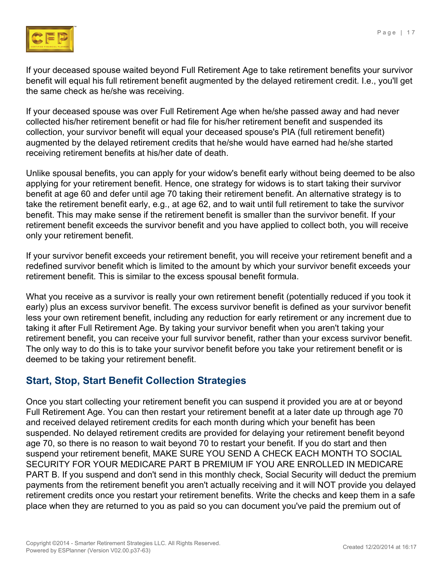

If your deceased spouse waited beyond Full Retirement Age to take retirement benefits your survivor benefit will equal his full retirement benefit augmented by the delayed retirement credit. I.e., you'll get the same check as he/she was receiving.

If your deceased spouse was over Full Retirement Age when he/she passed away and had never collected his/her retirement benefit or had file for his/her retirement benefit and suspended its collection, your survivor benefit will equal your deceased spouse's PIA (full retirement benefit) augmented by the delayed retirement credits that he/she would have earned had he/she started receiving retirement benefits at his/her date of death.

Unlike spousal benefits, you can apply for your widow's benefit early without being deemed to be also applying for your retirement benefit. Hence, one strategy for widows is to start taking their survivor benefit at age 60 and defer until age 70 taking their retirement benefit. An alternative strategy is to take the retirement benefit early, e.g., at age 62, and to wait until full retirement to take the survivor benefit. This may make sense if the retirement benefit is smaller than the survivor benefit. If your retirement benefit exceeds the survivor benefit and you have applied to collect both, you will receive only your retirement benefit.

If your survivor benefit exceeds your retirement benefit, you will receive your retirement benefit and a redefined survivor benefit which is limited to the amount by which your survivor benefit exceeds your retirement benefit. This is similar to the excess spousal benefit formula.

What you receive as a survivor is really your own retirement benefit (potentially reduced if you took it early) plus an excess survivor benefit. The excess survivor benefit is defined as your survivor benefit less your own retirement benefit, including any reduction for early retirement or any increment due to taking it after Full Retirement Age. By taking your survivor benefit when you aren't taking your retirement benefit, you can receive your full survivor benefit, rather than your excess survivor benefit. The only way to do this is to take your survivor benefit before you take your retirement benefit or is deemed to be taking your retirement benefit.

#### **Start, Stop, Start Benefit Collection Strategies**

Once you start collecting your retirement benefit you can suspend it provided you are at or beyond Full Retirement Age. You can then restart your retirement benefit at a later date up through age 70 and received delayed retirement credits for each month during which your benefit has been suspended. No delayed retirement credits are provided for delaying your retirement benefit beyond age 70, so there is no reason to wait beyond 70 to restart your benefit. If you do start and then suspend your retirement benefit, MAKE SURE YOU SEND A CHECK EACH MONTH TO SOCIAL SECURITY FOR YOUR MEDICARE PART B PREMIUM IF YOU ARE ENROLLED IN MEDICARE PART B. If you suspend and don't send in this monthly check, Social Security will deduct the premium payments from the retirement benefit you aren't actually receiving and it will NOT provide you delayed retirement credits once you restart your retirement benefits. Write the checks and keep them in a safe place when they are returned to you as paid so you can document you've paid the premium out of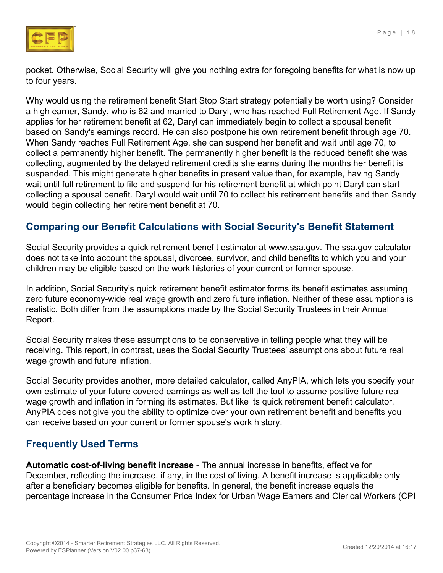

pocket. Otherwise, Social Security will give you nothing extra for foregoing benefits for what is now up to four years.

Why would using the retirement benefit Start Stop Start strategy potentially be worth using? Consider a high earner, Sandy, who is 62 and married to Daryl, who has reached Full Retirement Age. If Sandy applies for her retirement benefit at 62, Daryl can immediately begin to collect a spousal benefit based on Sandy's earnings record. He can also postpone his own retirement benefit through age 70. When Sandy reaches Full Retirement Age, she can suspend her benefit and wait until age 70, to collect a permanently higher benefit. The permanently higher benefit is the reduced benefit she was collecting, augmented by the delayed retirement credits she earns during the months her benefit is suspended. This might generate higher benefits in present value than, for example, having Sandy wait until full retirement to file and suspend for his retirement benefit at which point Daryl can start collecting a spousal benefit. Daryl would wait until 70 to collect his retirement benefits and then Sandy would begin collecting her retirement benefit at 70.

#### **Comparing our Benefit Calculations with Social Security's Benefit Statement**

Social Security provides a quick retirement benefit estimator at [www.ssa.gov](http://www.ssa.gov). The ssa.gov calculator does not take into account the spousal, divorcee, survivor, and child benefits to which you and your children may be eligible based on the work histories of your current or former spouse.

In addition, Social Security's quick retirement benefit estimator forms its benefit estimates assuming zero future economy-wide real wage growth and zero future inflation. Neither of these assumptions is realistic. Both differ from the assumptions made by the Social Security Trustees in their Annual Report.

Social Security makes these assumptions to be conservative in telling people what they will be receiving. This report, in contrast, uses the Social Security Trustees' assumptions about future real wage growth and future inflation.

Social Security provides another, more detailed calculator, called AnyPIA, which lets you specify your own estimate of your future covered earnings as well as tell the tool to assume positive future real wage growth and inflation in forming its estimates. But like its quick retirement benefit calculator, AnyPIA does not give you the ability to optimize over your own retirement benefit and benefits you can receive based on your current or former spouse's work history.

#### **Frequently Used Terms**

**Automatic cost-of-living benefit increase** - The annual increase in benefits, effective for December, reflecting the increase, if any, in the cost of living. A benefit increase is applicable only after a beneficiary becomes eligible for benefits. In general, the benefit increase equals the percentage increase in the Consumer Price Index for Urban Wage Earners and Clerical Workers (CPI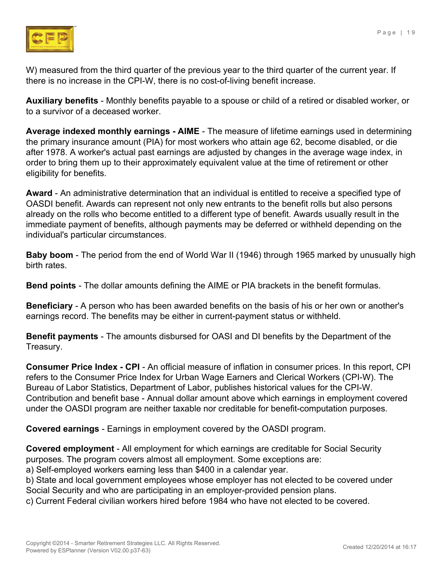

W) measured from the third quarter of the previous year to the third quarter of the current year. If there is no increase in the CPI-W, there is no cost-of-living benefit increase.

**Auxiliary benefits** - Monthly benefits payable to a spouse or child of a retired or disabled worker, or to a survivor of a deceased worker.

**Average indexed monthly earnings - AIME** - The measure of lifetime earnings used in determining the primary insurance amount (PIA) for most workers who attain age 62, become disabled, or die after 1978. A worker's actual past earnings are adjusted by changes in the average wage index, in order to bring them up to their approximately equivalent value at the time of retirement or other eligibility for benefits.

**Award** - An administrative determination that an individual is entitled to receive a specified type of OASDI benefit. Awards can represent not only new entrants to the benefit rolls but also persons already on the rolls who become entitled to a different type of benefit. Awards usually result in the immediate payment of benefits, although payments may be deferred or withheld depending on the individual's particular circumstances.

**Baby boom** - The period from the end of World War II (1946) through 1965 marked by unusually high birth rates.

**Bend points** - The dollar amounts defining the AIME or PIA brackets in the benefit formulas.

**Beneficiary** - A person who has been awarded benefits on the basis of his or her own or another's earnings record. The benefits may be either in current-payment status or withheld.

**Benefit payments** - The amounts disbursed for OASI and DI benefits by the Department of the Treasury.

**Consumer Price Index - CPI** - An official measure of inflation in consumer prices. In this report, CPI refers to the Consumer Price Index for Urban Wage Earners and Clerical Workers (CPI-W). The Bureau of Labor Statistics, Department of Labor, publishes historical values for the CPI-W. Contribution and benefit base - Annual dollar amount above which earnings in employment covered under the OASDI program are neither taxable nor creditable for benefit-computation purposes.

**Covered earnings** - Earnings in employment covered by the OASDI program.

**Covered employment** - All employment for which earnings are creditable for Social Security purposes. The program covers almost all employment. Some exceptions are:

a) Self-employed workers earning less than \$400 in a calendar year.

b) State and local government employees whose employer has not elected to be covered under Social Security and who are participating in an employer-provided pension plans.

c) Current Federal civilian workers hired before 1984 who have not elected to be covered.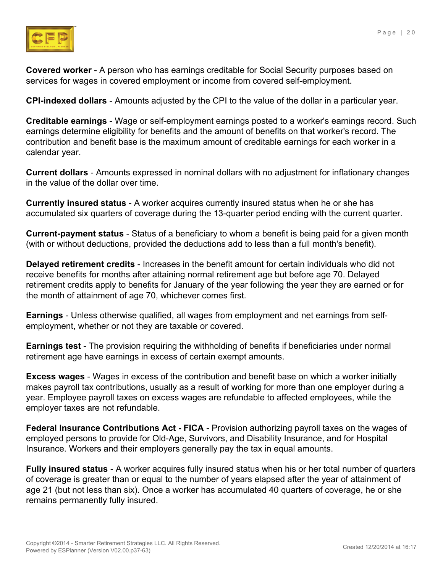

**Covered worker** - A person who has earnings creditable for Social Security purposes based on services for wages in covered employment or income from covered self-employment.

**CPI-indexed dollars** - Amounts adjusted by the CPI to the value of the dollar in a particular year.

**Creditable earnings** - Wage or self-employment earnings posted to a worker's earnings record. Such earnings determine eligibility for benefits and the amount of benefits on that worker's record. The contribution and benefit base is the maximum amount of creditable earnings for each worker in a calendar year.

**Current dollars** - Amounts expressed in nominal dollars with no adjustment for inflationary changes in the value of the dollar over time.

**Currently insured status** - A worker acquires currently insured status when he or she has accumulated six quarters of coverage during the 13-quarter period ending with the current quarter.

**Current-payment status** - Status of a beneficiary to whom a benefit is being paid for a given month (with or without deductions, provided the deductions add to less than a full month's benefit).

**Delayed retirement credits** - Increases in the benefit amount for certain individuals who did not receive benefits for months after attaining normal retirement age but before age 70. Delayed retirement credits apply to benefits for January of the year following the year they are earned or for the month of attainment of age 70, whichever comes first.

**Earnings** - Unless otherwise qualified, all wages from employment and net earnings from selfemployment, whether or not they are taxable or covered.

**Earnings test** - The provision requiring the withholding of benefits if beneficiaries under normal retirement age have earnings in excess of certain exempt amounts.

**Excess wages** - Wages in excess of the contribution and benefit base on which a worker initially makes payroll tax contributions, usually as a result of working for more than one employer during a year. Employee payroll taxes on excess wages are refundable to affected employees, while the employer taxes are not refundable.

**Federal Insurance Contributions Act - FICA** - Provision authorizing payroll taxes on the wages of employed persons to provide for Old-Age, Survivors, and Disability Insurance, and for Hospital Insurance. Workers and their employers generally pay the tax in equal amounts.

**Fully insured status** - A worker acquires fully insured status when his or her total number of quarters of coverage is greater than or equal to the number of years elapsed after the year of attainment of age 21 (but not less than six). Once a worker has accumulated 40 quarters of coverage, he or she remains permanently fully insured.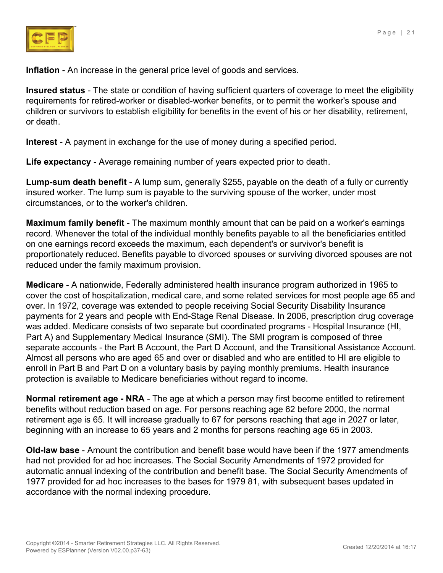

**Inflation** - An increase in the general price level of goods and services.

**Insured status** - The state or condition of having sufficient quarters of coverage to meet the eligibility requirements for retired-worker or disabled-worker benefits, or to permit the worker's spouse and children or survivors to establish eligibility for benefits in the event of his or her disability, retirement, or death.

**Interest** - A payment in exchange for the use of money during a specified period.

**Life expectancy** - Average remaining number of years expected prior to death.

**Lump-sum death benefit** - A lump sum, generally \$255, payable on the death of a fully or currently insured worker. The lump sum is payable to the surviving spouse of the worker, under most circumstances, or to the worker's children.

**Maximum family benefit** - The maximum monthly amount that can be paid on a worker's earnings record. Whenever the total of the individual monthly benefits payable to all the beneficiaries entitled on one earnings record exceeds the maximum, each dependent's or survivor's benefit is proportionately reduced. Benefits payable to divorced spouses or surviving divorced spouses are not reduced under the family maximum provision.

**Medicare** - A nationwide, Federally administered health insurance program authorized in 1965 to cover the cost of hospitalization, medical care, and some related services for most people age 65 and over. In 1972, coverage was extended to people receiving Social Security Disability Insurance payments for 2 years and people with End-Stage Renal Disease. In 2006, prescription drug coverage was added. Medicare consists of two separate but coordinated programs - Hospital Insurance (HI, Part A) and Supplementary Medical Insurance (SMI). The SMI program is composed of three separate accounts - the Part B Account, the Part D Account, and the Transitional Assistance Account. Almost all persons who are aged 65 and over or disabled and who are entitled to HI are eligible to enroll in Part B and Part D on a voluntary basis by paying monthly premiums. Health insurance protection is available to Medicare beneficiaries without regard to income.

**Normal retirement age - NRA** - The age at which a person may first become entitled to retirement benefits without reduction based on age. For persons reaching age 62 before 2000, the normal retirement age is 65. It will increase gradually to 67 for persons reaching that age in 2027 or later, beginning with an increase to 65 years and 2 months for persons reaching age 65 in 2003.

**Old-law base** - Amount the contribution and benefit base would have been if the 1977 amendments had not provided for ad hoc increases. The Social Security Amendments of 1972 provided for automatic annual indexing of the contribution and benefit base. The Social Security Amendments of 1977 provided for ad hoc increases to the bases for 1979 81, with subsequent bases updated in accordance with the normal indexing procedure.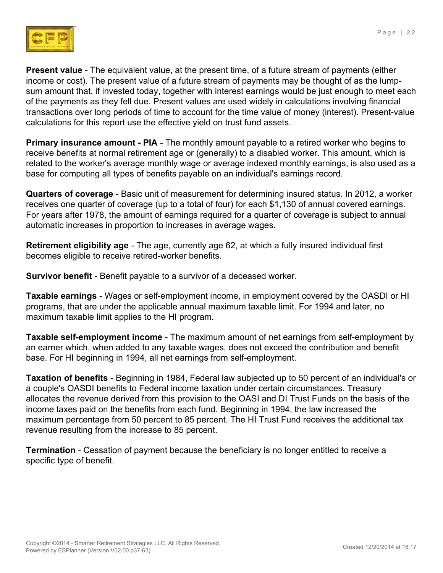

**Present value** - The equivalent value, at the present time, of a future stream of payments (either income or cost). The present value of a future stream of payments may be thought of as the lumpsum amount that, if invested today, together with interest earnings would be just enough to meet each of the payments as they fell due. Present values are used widely in calculations involving financial transactions over long periods of time to account for the time value of money (interest). Present-value calculations for this report use the effective yield on trust fund assets.

**Primary insurance amount - PIA** - The monthly amount payable to a retired worker who begins to receive benefits at normal retirement age or (generally) to a disabled worker. This amount, which is related to the worker's average monthly wage or average indexed monthly earnings, is also used as a base for computing all types of benefits payable on an individual's earnings record.

**Quarters of coverage** - Basic unit of measurement for determining insured status. In 2012, a worker receives one quarter of coverage (up to a total of four) for each \$1,130 of annual covered earnings. For years after 1978, the amount of earnings required for a quarter of coverage is subject to annual automatic increases in proportion to increases in average wages.

**Retirement eligibility age** - The age, currently age 62, at which a fully insured individual first becomes eligible to receive retired-worker benefits.

**Survivor benefit** - Benefit payable to a survivor of a deceased worker.

**Taxable earnings** - Wages or self-employment income, in employment covered by the OASDI or HI programs, that are under the applicable annual maximum taxable limit. For 1994 and later, no maximum taxable limit applies to the HI program.

**Taxable self-employment income** - The maximum amount of net earnings from self-employment by an earner which, when added to any taxable wages, does not exceed the contribution and benefit base. For HI beginning in 1994, all net earnings from self-employment.

**Taxation of benefits** - Beginning in 1984, Federal law subjected up to 50 percent of an individual's or a couple's OASDI benefits to Federal income taxation under certain circumstances. Treasury allocates the revenue derived from this provision to the OASI and DI Trust Funds on the basis of the income taxes paid on the benefits from each fund. Beginning in 1994, the law increased the maximum percentage from 50 percent to 85 percent. The HI Trust Fund receives the additional tax revenue resulting from the increase to 85 percent.

**Termination** - Cessation of payment because the beneficiary is no longer entitled to receive a specific type of benefit.